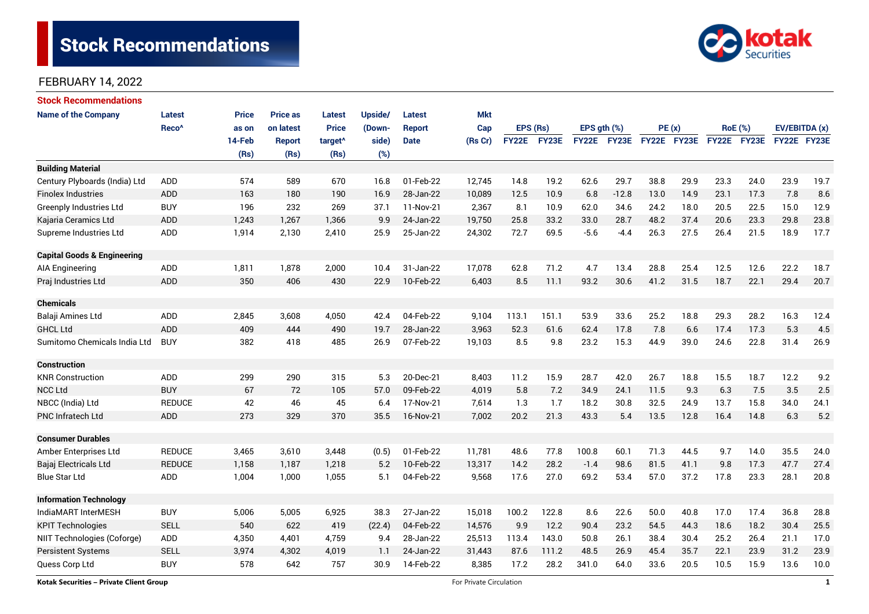# Stock Recommendations



## FEBRUARY 14, 2022

| <b>Stock Recommendations</b>           |                   |              |                 |                     |                |               |            |              |       |             |             |             |      |                |             |               |      |
|----------------------------------------|-------------------|--------------|-----------------|---------------------|----------------|---------------|------------|--------------|-------|-------------|-------------|-------------|------|----------------|-------------|---------------|------|
| <b>Name of the Company</b>             | <b>Latest</b>     | <b>Price</b> | <b>Price as</b> | <b>Latest</b>       | <b>Upside/</b> | <b>Latest</b> | <b>Mkt</b> |              |       |             |             |             |      |                |             |               |      |
|                                        | Reco <sup>^</sup> | as on        | on latest       | <b>Price</b>        | (Down-         | <b>Report</b> | Cap        | EPS (Rs)     |       | EPS gth (%) |             | PE(x)       |      | <b>RoE</b> (%) |             | EV/EBITDA (x) |      |
|                                        |                   | 14-Feb       | <b>Report</b>   | target <sup>^</sup> | side)          | <b>Date</b>   | (Rs Cr)    | <b>FY22E</b> | FY23E |             | FY22E FY23E | FY22E FY23E |      |                | FY22E FY23E | FY22E FY23E   |      |
|                                        |                   | (Rs)         | (Rs)            | (Rs)                | (%)            |               |            |              |       |             |             |             |      |                |             |               |      |
| <b>Building Material</b>               |                   |              |                 |                     |                |               |            |              |       |             |             |             |      |                |             |               |      |
| Century Plyboards (India) Ltd          | ADD               | 574          | 589             | 670                 | 16.8           | 01-Feb-22     | 12,745     | 14.8         | 19.2  | 62.6        | 29.7        | 38.8        | 29.9 | 23.3           | 24.0        | 23.9          | 19.7 |
| <b>Finolex Industries</b>              | <b>ADD</b>        | 163          | 180             | 190                 | 16.9           | 28-Jan-22     | 10,089     | 12.5         | 10.9  | 6.8         | $-12.8$     | 13.0        | 14.9 | 23.1           | 17.3        | 7.8           | 8.6  |
| <b>Greenply Industries Ltd</b>         | <b>BUY</b>        | 196          | 232             | 269                 | 37.1           | 11-Nov-21     | 2,367      | 8.1          | 10.9  | 62.0        | 34.6        | 24.2        | 18.0 | 20.5           | 22.5        | 15.0          | 12.9 |
| Kajaria Ceramics Ltd                   | <b>ADD</b>        | 1,243        | 1,267           | 1,366               | 9.9            | 24-Jan-22     | 19,750     | 25.8         | 33.2  | 33.0        | 28.7        | 48.2        | 37.4 | 20.6           | 23.3        | 29.8          | 23.8 |
| Supreme Industries Ltd                 | ADD               | 1,914        | 2,130           | 2,410               | 25.9           | 25-Jan-22     | 24,302     | 72.7         | 69.5  | $-5.6$      | $-4.4$      | 26.3        | 27.5 | 26.4           | 21.5        | 18.9          | 17.7 |
| <b>Capital Goods &amp; Engineering</b> |                   |              |                 |                     |                |               |            |              |       |             |             |             |      |                |             |               |      |
| AIA Engineering                        | ADD               | 1,811        | 1,878           | 2,000               | 10.4           | 31-Jan-22     | 17,078     | 62.8         | 71.2  | 4.7         | 13.4        | 28.8        | 25.4 | 12.5           | 12.6        | 22.2          | 18.7 |
| Praj Industries Ltd                    | <b>ADD</b>        | 350          | 406             | 430                 | 22.9           | 10-Feb-22     | 6,403      | 8.5          | 11.1  | 93.2        | 30.6        | 41.2        | 31.5 | 18.7           | 22.1        | 29.4          | 20.7 |
| <b>Chemicals</b>                       |                   |              |                 |                     |                |               |            |              |       |             |             |             |      |                |             |               |      |
| Balaji Amines Ltd                      | ADD               | 2,845        | 3,608           | 4,050               | 42.4           | 04-Feb-22     | 9,104      | 113.1        | 151.1 | 53.9        | 33.6        | 25.2        | 18.8 | 29.3           | 28.2        | 16.3          | 12.4 |
| <b>GHCL Ltd</b>                        | <b>ADD</b>        | 409          | 444             | 490                 | 19.7           | 28-Jan-22     | 3,963      | 52.3         | 61.6  | 62.4        | 17.8        | 7.8         | 6.6  | 17.4           | 17.3        | 5.3           | 4.5  |
| Sumitomo Chemicals India Ltd           | <b>BUY</b>        | 382          | 418             | 485                 | 26.9           | 07-Feb-22     | 19,103     | 8.5          | 9.8   | 23.2        | 15.3        | 44.9        | 39.0 | 24.6           | 22.8        | 31.4          | 26.9 |
| <b>Construction</b>                    |                   |              |                 |                     |                |               |            |              |       |             |             |             |      |                |             |               |      |
| <b>KNR Construction</b>                | ADD               | 299          | 290             | 315                 | 5.3            | 20-Dec-21     | 8,403      | 11.2         | 15.9  | 28.7        | 42.0        | 26.7        | 18.8 | 15.5           | 18.7        | 12.2          | 9.2  |
| <b>NCC Ltd</b>                         | <b>BUY</b>        | 67           | 72              | 105                 | 57.0           | 09-Feb-22     | 4,019      | 5.8          | 7.2   | 34.9        | 24.1        | 11.5        | 9.3  | 6.3            | 7.5         | 3.5           | 2.5  |
| NBCC (India) Ltd                       | <b>REDUCE</b>     | 42           | 46              | 45                  | 6.4            | 17-Nov-21     | 7,614      | 1.3          | 1.7   | 18.2        | 30.8        | 32.5        | 24.9 | 13.7           | 15.8        | 34.0          | 24.1 |
| <b>PNC Infratech Ltd</b>               | <b>ADD</b>        | 273          | 329             | 370                 | 35.5           | 16-Nov-21     | 7,002      | 20.2         | 21.3  | 43.3        | 5.4         | 13.5        | 12.8 | 16.4           | 14.8        | 6.3           | 5.2  |
| <b>Consumer Durables</b>               |                   |              |                 |                     |                |               |            |              |       |             |             |             |      |                |             |               |      |
| Amber Enterprises Ltd                  | <b>REDUCE</b>     | 3,465        | 3.610           | 3,448               | (0.5)          | 01-Feb-22     | 11,781     | 48.6         | 77.8  | 100.8       | 60.1        | 71.3        | 44.5 | 9.7            | 14.0        | 35.5          | 24.0 |
| Bajaj Electricals Ltd                  | <b>REDUCE</b>     | 1,158        | 1,187           | 1,218               | 5.2            | 10-Feb-22     | 13,317     | 14.2         | 28.2  | $-1.4$      | 98.6        | 81.5        | 41.1 | 9.8            | 17.3        | 47.7          | 27.4 |
| <b>Blue Star Ltd</b>                   | ADD               | 1,004        | 1,000           | 1,055               | 5.1            | 04-Feb-22     | 9,568      | 17.6         | 27.0  | 69.2        | 53.4        | 57.0        | 37.2 | 17.8           | 23.3        | 28.1          | 20.8 |
| <b>Information Technology</b>          |                   |              |                 |                     |                |               |            |              |       |             |             |             |      |                |             |               |      |
| IndiaMART InterMESH                    | <b>BUY</b>        | 5,006        | 5,005           | 6,925               | 38.3           | 27-Jan-22     | 15,018     | 100.2        | 122.8 | 8.6         | 22.6        | 50.0        | 40.8 | 17.0           | 17.4        | 36.8          | 28.8 |
| <b>KPIT Technologies</b>               | <b>SELL</b>       | 540          | 622             | 419                 | (22.4)         | 04-Feb-22     | 14,576     | 9.9          | 12.2  | 90.4        | 23.2        | 54.5        | 44.3 | 18.6           | 18.2        | 30.4          | 25.5 |
| NIIT Technologies (Coforge)            | ADD               | 4,350        | 4,401           | 4,759               | 9.4            | 28-Jan-22     | 25,513     | 113.4        | 143.0 | 50.8        | 26.1        | 38.4        | 30.4 | 25.2           | 26.4        | 21.1          | 17.0 |
| <b>Persistent Systems</b>              | <b>SELL</b>       | 3,974        | 4,302           | 4,019               | 1.1            | 24-Jan-22     | 31,443     | 87.6         | 111.2 | 48.5        | 26.9        | 45.4        | 35.7 | 22.1           | 23.9        | 31.2          | 23.9 |
| Quess Corp Ltd                         | <b>BUY</b>        | 578          | 642             | 757                 | 30.9           | 14-Feb-22     | 8,385      | 17.2         | 28.2  | 341.0       | 64.0        | 33.6        | 20.5 | 10.5           | 15.9        | 13.6          | 10.0 |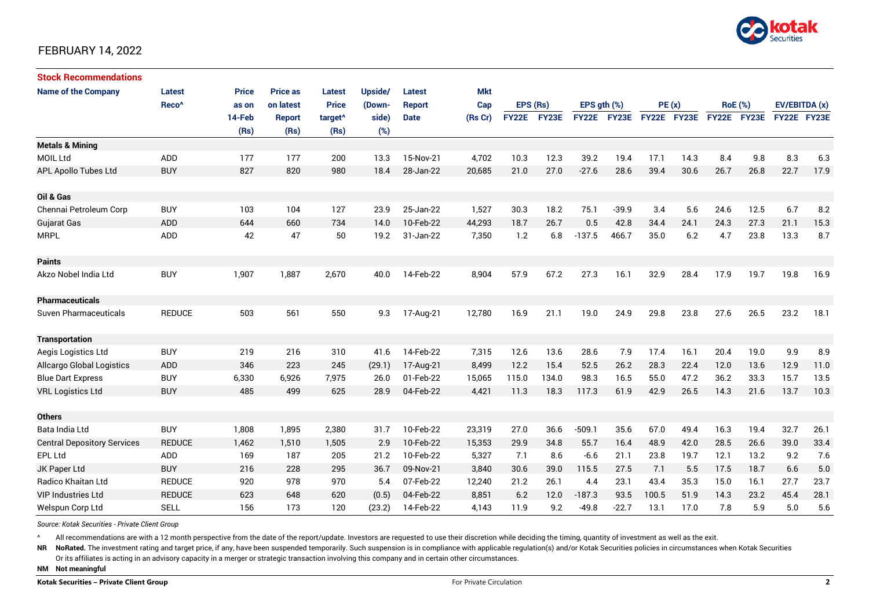

#### FEBRUARY 14, 2022

| <b>Stock Recommendations</b>       |                   |              |                 |                     |         |             |            |              |       |              |              |             |       |      |                |             |               |  |
|------------------------------------|-------------------|--------------|-----------------|---------------------|---------|-------------|------------|--------------|-------|--------------|--------------|-------------|-------|------|----------------|-------------|---------------|--|
| <b>Name of the Company</b>         | Latest            | <b>Price</b> | <b>Price as</b> | <b>Latest</b>       | Upside/ | Latest      | <b>Mkt</b> |              |       |              |              |             |       |      |                |             |               |  |
|                                    | Reco <sup>^</sup> | as on        | on latest       | <b>Price</b>        | (Down-  | Report      | Cap        | EPS (Rs)     |       |              | EPS ath (%)  |             | PE(x) |      | <b>RoE</b> (%) |             | EV/EBITDA (x) |  |
|                                    |                   | 14-Feb       | Report          | target <sup>^</sup> | side)   | <b>Date</b> | (Rs Cr)    | <b>FY22E</b> | FY23E | <b>FY22E</b> | <b>FY23E</b> | FY22E FY23E |       |      | FY22E FY23E    | FY22E FY23E |               |  |
|                                    |                   | (Rs)         | (Rs)            | (Rs)                | (%)     |             |            |              |       |              |              |             |       |      |                |             |               |  |
| <b>Metals &amp; Mining</b>         |                   |              |                 |                     |         |             |            |              |       |              |              |             |       |      |                |             |               |  |
| <b>MOIL Ltd</b>                    | ADD               | 177          | 177             | 200                 | 13.3    | 15-Nov-21   | 4,702      | 10.3         | 12.3  | 39.2         | 19.4         | 17.1        | 14.3  | 8.4  | 9.8            | 8.3         | 6.3           |  |
| <b>APL Apollo Tubes Ltd</b>        | <b>BUY</b>        | 827          | 820             | 980                 | 18.4    | 28-Jan-22   | 20,685     | 21.0         | 27.0  | $-27.6$      | 28.6         | 39.4        | 30.6  | 26.7 | 26.8           | 22.7        | 17.9          |  |
|                                    |                   |              |                 |                     |         |             |            |              |       |              |              |             |       |      |                |             |               |  |
| Oil & Gas                          |                   |              |                 |                     |         |             |            |              |       |              |              |             |       |      |                |             |               |  |
| Chennai Petroleum Corp             | <b>BUY</b>        | 103          | 104             | 127                 | 23.9    | 25-Jan-22   | 1,527      | 30.3         | 18.2  | 75.1         | $-39.9$      | 3.4         | 5.6   | 24.6 | 12.5           | 6.7         | 8.2           |  |
| Gujarat Gas                        | <b>ADD</b>        | 644          | 660             | 734                 | 14.0    | 10-Feb-22   | 44,293     | 18.7         | 26.7  | 0.5          | 42.8         | 34.4        | 24.1  | 24.3 | 27.3           | 21.1        | 15.3          |  |
| <b>MRPL</b>                        | ADD               | 42           | 47              | 50                  | 19.2    | 31-Jan-22   | 7,350      | 1.2          | 6.8   | $-137.5$     | 466.7        | 35.0        | 6.2   | 4.7  | 23.8           | 13.3        | 8.7           |  |
|                                    |                   |              |                 |                     |         |             |            |              |       |              |              |             |       |      |                |             |               |  |
| <b>Paints</b>                      |                   |              |                 |                     |         |             |            |              |       |              |              |             |       |      |                |             |               |  |
| Akzo Nobel India Ltd               | <b>BUY</b>        | 1,907        | 1,887           | 2,670               | 40.0    | 14-Feb-22   | 8,904      | 57.9         | 67.2  | 27.3         | 16.1         | 32.9        | 28.4  | 17.9 | 19.7           | 19.8        | 16.9          |  |
|                                    |                   |              |                 |                     |         |             |            |              |       |              |              |             |       |      |                |             |               |  |
| <b>Pharmaceuticals</b>             |                   |              |                 |                     |         |             |            |              |       |              |              |             |       |      |                |             |               |  |
| <b>Suven Pharmaceuticals</b>       | <b>REDUCE</b>     | 503          | 561             | 550                 | 9.3     | 17-Aug-21   | 12,780     | 16.9         | 21.1  | 19.0         | 24.9         | 29.8        | 23.8  | 27.6 | 26.5           | 23.2        | 18.1          |  |
|                                    |                   |              |                 |                     |         |             |            |              |       |              |              |             |       |      |                |             |               |  |
| <b>Transportation</b>              |                   |              |                 |                     |         |             |            |              |       |              |              |             |       |      |                |             |               |  |
| Aegis Logistics Ltd                | <b>BUY</b>        | 219          | 216             | 310                 | 41.6    | 14-Feb-22   | 7,315      | 12.6         | 13.6  | 28.6         | 7.9          | 17.4        | 16.1  | 20.4 | 19.0           | 9.9         | 8.9           |  |
| <b>Allcargo Global Logistics</b>   | ADD               | 346          | 223             | 245                 | (29.1)  | 17-Aug-21   | 8,499      | 12.2         | 15.4  | 52.5         | 26.2         | 28.3        | 22.4  | 12.0 | 13.6           | 12.9        | 11.0          |  |
| <b>Blue Dart Express</b>           | <b>BUY</b>        | 6,330        | 6,926           | 7,975               | 26.0    | 01-Feb-22   | 15,065     | 115.0        | 134.0 | 98.3         | 16.5         | 55.0        | 47.2  | 36.2 | 33.3           | 15.7        | 13.5          |  |
| <b>VRL Logistics Ltd</b>           | <b>BUY</b>        | 485          | 499             | 625                 | 28.9    | 04-Feb-22   | 4,421      | 11.3         | 18.3  | 117.3        | 61.9         | 42.9        | 26.5  | 14.3 | 21.6           | 13.7        | 10.3          |  |
|                                    |                   |              |                 |                     |         |             |            |              |       |              |              |             |       |      |                |             |               |  |
| <b>Others</b>                      |                   |              |                 |                     |         |             |            |              |       |              |              |             |       |      |                |             |               |  |
| Bata India Ltd                     | <b>BUY</b>        | 1,808        | 1,895           | 2,380               | 31.7    | 10-Feb-22   | 23,319     | 27.0         | 36.6  | $-509.1$     | 35.6         | 67.0        | 49.4  | 16.3 | 19.4           | 32.7        | 26.1          |  |
| <b>Central Depository Services</b> | <b>REDUCE</b>     | 1,462        | 1,510           | 1,505               | 2.9     | 10-Feb-22   | 15,353     | 29.9         | 34.8  | 55.7         | 16.4         | 48.9        | 42.0  | 28.5 | 26.6           | 39.0        | 33.4          |  |
| <b>EPL Ltd</b>                     | ADD               | 169          | 187             | 205                 | 21.2    | 10-Feb-22   | 5,327      | 7.1          | 8.6   | $-6.6$       | 21.1         | 23.8        | 19.7  | 12.1 | 13.2           | 9.2         | 7.6           |  |
| JK Paper Ltd                       | <b>BUY</b>        | 216          | 228             | 295                 | 36.7    | 09-Nov-21   | 3,840      | 30.6         | 39.0  | 115.5        | 27.5         | 7.1         | 5.5   | 17.5 | 18.7           | 6.6         | 5.0           |  |
| <b>Radico Khaitan Ltd</b>          | <b>REDUCE</b>     | 920          | 978             | 970                 | 5.4     | 07-Feb-22   | 12,240     | 21.2         | 26.1  | 4.4          | 23.1         | 43.4        | 35.3  | 15.0 | 16.1           | 27.7        | 23.7          |  |
| <b>VIP Industries Ltd</b>          | <b>REDUCE</b>     | 623          | 648             | 620                 | (0.5)   | 04-Feb-22   | 8,851      | 6.2          | 12.0  | $-187.3$     | 93.5         | 100.5       | 51.9  | 14.3 | 23.2           | 45.4        | 28.1          |  |
| Welspun Corp Ltd                   | <b>SELL</b>       | 156          | 173             | 120                 | (23.2)  | 14-Feb-22   | 4,143      | 11.9         | 9.2   | $-49.8$      | $-22.7$      | 13.1        | 17.0  | 7.8  | 5.9            | 5.0         | 5.6           |  |

*Source: Kotak Securities - Private Client Group*

^ All recommendations are with a 12 month perspective from the date of the report/update. Investors are requested to use their discretion while deciding the timing, quantity of investment as well as the exit.

NR NoRated. The investment rating and target price, if any, have been suspended temporarily. Such suspension is in compliance with applicable regulation(s) and/or Kotak Securities policies in circumstances when Kotak Secur Or its affiliates is acting in an advisory capacity in a merger or strategic transaction involving this company and in certain other circumstances.

**NM Not meaningful**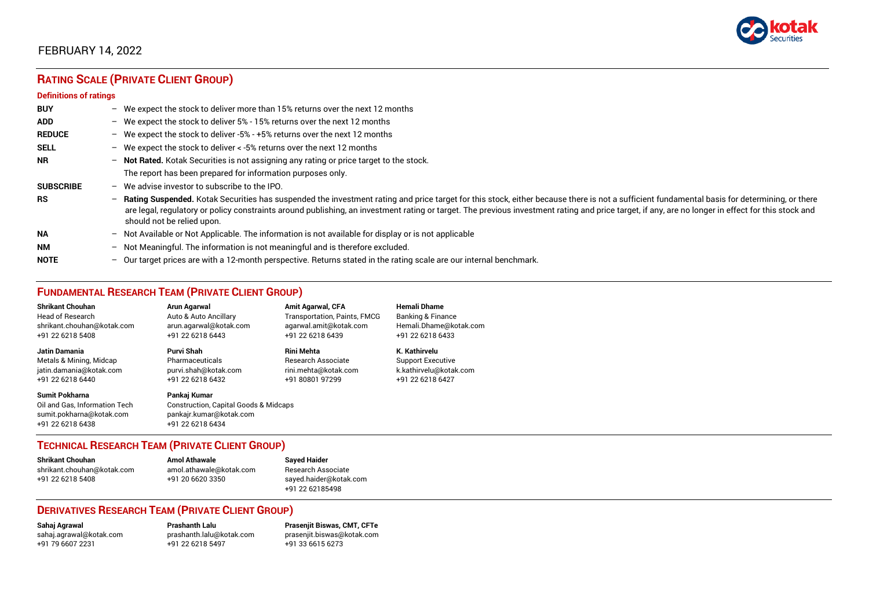

## FEBRUARY 14, 2022

# **RATING SCALE (PRIVATE CLIENT GROUP)**

#### **Definitions of ratings**

| <b>BUY</b>       | - We expect the stock to deliver more than 15% returns over the next 12 months                                                                                                                                                                                                                                                                                                                                                     |
|------------------|------------------------------------------------------------------------------------------------------------------------------------------------------------------------------------------------------------------------------------------------------------------------------------------------------------------------------------------------------------------------------------------------------------------------------------|
| <b>ADD</b>       | - We expect the stock to deliver 5% - 15% returns over the next 12 months                                                                                                                                                                                                                                                                                                                                                          |
| <b>REDUCE</b>    | - We expect the stock to deliver -5% - +5% returns over the next 12 months                                                                                                                                                                                                                                                                                                                                                         |
| <b>SELL</b>      | - We expect the stock to deliver < -5% returns over the next 12 months                                                                                                                                                                                                                                                                                                                                                             |
| <b>NR</b>        | - Not Rated. Kotak Securities is not assigning any rating or price target to the stock.                                                                                                                                                                                                                                                                                                                                            |
|                  | The report has been prepared for information purposes only.                                                                                                                                                                                                                                                                                                                                                                        |
| <b>SUBSCRIBE</b> | $-$ We advise investor to subscribe to the IPO.                                                                                                                                                                                                                                                                                                                                                                                    |
| <b>RS</b>        | - Rating Suspended. Kotak Securities has suspended the investment rating and price target for this stock, either because there is not a sufficient fundamental basis for determining, or there<br>are legal, regulatory or policy constraints around publishing, an investment rating or target. The previous investment rating and price target, if any, are no longer in effect for this stock and<br>should not be relied upon. |
| <b>NA</b>        | - Not Available or Not Applicable. The information is not available for display or is not applicable                                                                                                                                                                                                                                                                                                                               |
| <b>NM</b>        | - Not Meaningful. The information is not meaningful and is therefore excluded.                                                                                                                                                                                                                                                                                                                                                     |
| <b>NOTE</b>      | $-$ Our target prices are with a 12-month perspective. Returns stated in the rating scale are our internal benchmark.                                                                                                                                                                                                                                                                                                              |

## **FUNDAMENTAL RESEARCH TEAM (PRIVATE CLIENT GROUP)**

| <b>Shrikant Chouhan</b>                                                                                | <b>Arun Agarwal</b>                                                                                             | <b>Amit Agarwal, CFA</b>     | <b>Hemali Dhame</b>          |
|--------------------------------------------------------------------------------------------------------|-----------------------------------------------------------------------------------------------------------------|------------------------------|------------------------------|
| Head of Research                                                                                       | Auto & Auto Ancillary                                                                                           | Transportation, Paints, FMCG | <b>Banking &amp; Finance</b> |
| shrikant.chouhan@kotak.com                                                                             | arun.agarwal@kotak.com                                                                                          | agarwal.amit@kotak.com       | Hemali.Dhame@kotak.com       |
| +91 22 6218 5408                                                                                       | +91 22 6218 6443                                                                                                | +91 22 6218 6439             | +91 22 6218 6433             |
| Jatin Damania                                                                                          | Purvi Shah                                                                                                      | <b>Rini Mehta</b>            | K. Kathirvelu                |
| Metals & Mining, Midcap                                                                                | Pharmaceuticals                                                                                                 | Research Associate           | <b>Support Executive</b>     |
| jatin.damania@kotak.com                                                                                | purvi.shah@kotak.com                                                                                            | rini.mehta@kotak.com         | k.kathirvelu@kotak.com       |
| +91 22 6218 6440                                                                                       | +91 22 6218 6432                                                                                                | +91 80801 97299              | +91 22 6218 6427             |
| <b>Sumit Pokharna</b><br>Oil and Gas, Information Tech<br>sumit.pokharna@kotak.com<br>+91 22 6218 6438 | Pankaj Kumar<br><b>Construction, Capital Goods &amp; Midcaps</b><br>pankajr.kumar@kotak.com<br>+91 22 6218 6434 |                              |                              |

#### **TECHNICAL RESEARCH TEAM (PRIVATE CLIENT GROUP)**

**Shrikant Chouhan Amol Athawale Sayed Haider** [shrikant.chouhan@kotak.com](mailto:shrikant.chouhan@kotak.com) [amol.athawale@kotak.com](mailto:amol.athawale@kotak.com) Research Associate<br>
+91 22 6218 5408<br>
+91 20 6620 3350

# [sayed.haider@kotak.com](mailto:sayed.haider@kotak.com) +91 22 62185498

#### **DERIVATIVES RESEARCH TEAM (PRIVATE CLIENT GROUP)**

 $+91$  22 6218 5497

**Sahaj Agrawal Prashanth Lalu Prasenjit Biswas, CMT, CFTe** [sahaj.agrawal@kotak.com](mailto:sahaj.agrawal@kotak.com) [prashanth.lalu@kotak.com](mailto:prashanth.lalu@kotak.com) [prasenjit.biswas@kotak.com](mailto:prasenjit.biswas@kotak.com)